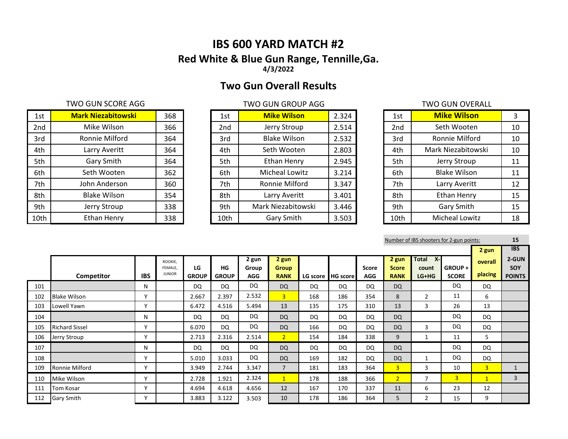# **IBS 600 YARD MATCH #2 Red White & Blue Gun Range, Tennille,Ga. 4/3/2022**

# **Two Gun Overall Results**

### TWO GUN SCORE AGG TWO GUN GROUP AGG TWO GUN GROUP AGG

| 1st  | <b>Mark Niezabitowski</b> | 368 | 1st             | <b>Mike Wilson</b>  | 2.324 | 1st             | <b>Mike Wilson</b>    | 3  |
|------|---------------------------|-----|-----------------|---------------------|-------|-----------------|-----------------------|----|
| 2nd  | Mike Wilson               | 366 | 2 <sub>nd</sub> | Jerry Stroup        | 2.514 | 2 <sub>nd</sub> | Seth Wooten           | 10 |
| 3rd  | Ronnie Milford            | 364 | 3rd             | <b>Blake Wilson</b> | 2.532 | 3rd             | Ronnie Milford        | 10 |
| 4th  | Larry Averitt             | 364 | 4th             | Seth Wooten         | 2.803 | 4th             | Mark Niezabitowski    | 10 |
| 5th  | Gary Smith                | 364 | 5th             | Ethan Henry         | 2.945 | 5th             | Jerry Stroup          | 11 |
| 6th  | Seth Wooten               | 362 | 6th             | Micheal Lowitz      | 3.214 | 6th             | <b>Blake Wilson</b>   | 11 |
| 7th  | John Anderson             | 360 | 7th             | Ronnie Milford      | 3.347 | 7th             | Larry Averitt         | 12 |
| 8th  | <b>Blake Wilson</b>       | 354 | 8th             | Larry Averitt       | 3.401 | 8th             | Ethan Henry           | 15 |
| 9th  | Jerry Stroup              | 338 | 9th             | Mark Niezabitowski  | 3.446 | 9th             | Gary Smith            | 15 |
| 10th | Ethan Henry               | 338 | 10th            | Gary Smith          | 3.503 | 10th            | <b>Micheal Lowitz</b> | 18 |

| 1st             | <b>Mike Wilson</b>    | 2.324 |
|-----------------|-----------------------|-------|
| 2 <sub>nd</sub> | Jerry Stroup          | 2.514 |
| 3rd             | <b>Blake Wilson</b>   | 2.532 |
| 4th             | Seth Wooten           | 2.803 |
| 5th             | Ethan Henry           | 2.945 |
| 6th             | <b>Micheal Lowitz</b> | 3.214 |
| 7th             | Ronnie Milford        | 3.347 |
| 8th             | Larry Averitt         | 3.401 |
| 9th             | Mark Niezabitowski    | 3.446 |
| 10th            | <b>Gary Smith</b>     | 3.503 |

# Jerry Stroup **Mike Wilson** Seth Wooten Ronnie Milford Blake Wilson Larry Averitt Ethan Henry Gary Smith Micheal Lowitz

Number of IBS shooters for 2-gun points: **15**

|     |                       |              |                                     |                    |                    |                              |                                      |           |                   |                     |                                      |                                           |                         | 2 gun              | <b>IBS</b>                    |
|-----|-----------------------|--------------|-------------------------------------|--------------------|--------------------|------------------------------|--------------------------------------|-----------|-------------------|---------------------|--------------------------------------|-------------------------------------------|-------------------------|--------------------|-------------------------------|
|     | Competitor            | <b>IBS</b>   | ROOKIE,<br>FEMALE.<br><b>JUNIOR</b> | LG<br><b>GROUP</b> | HG<br><b>GROUP</b> | 2 gun<br>Group<br><b>AGG</b> | 2 gun<br><b>Group</b><br><b>RANK</b> |           | LG score HG score | Score<br><b>AGG</b> | 2 gun<br><b>Score</b><br><b>RANK</b> | <b>Total</b><br>$X -$<br>count<br>$LG+HG$ | GROUP +<br><b>SCORE</b> | overall<br>placing | 2-GUN<br>SOY<br><b>POINTS</b> |
| 101 |                       | N            |                                     | <b>DQ</b>          | DQ                 | <b>DQ</b>                    | <b>DQ</b>                            | <b>DQ</b> | <b>DQ</b>         | <b>DQ</b>           | <b>DQ</b>                            |                                           | DQ                      | <b>DQ</b>          |                               |
| 102 | <b>Blake Wilson</b>   | $\mathbf v$  |                                     | 2.667              | 2.397              | 2.532                        | 3 <sup>1</sup>                       | 168       | 186               | 354                 | 8                                    | 2                                         | 11                      | 6                  |                               |
| 103 | Lowell Yawn           | $\mathbf v$  |                                     | 6.472              | 4.516              | 5.494                        | 13                                   | 135       | 175               | 310                 | 13                                   | 3                                         | 26                      | 13                 |                               |
| 104 |                       | N            |                                     | <b>DQ</b>          | DQ                 | DQ                           | <b>DQ</b>                            | <b>DQ</b> | <b>DQ</b>         | <b>DQ</b>           | <b>DQ</b>                            |                                           | DQ                      | <b>DQ</b>          |                               |
| 105 | <b>Richard Sissel</b> | $\mathbf v$  |                                     | 6.070              | <b>DQ</b>          | <b>DQ</b>                    | <b>DQ</b>                            | 166       | <b>DQ</b>         | <b>DQ</b>           | <b>DQ</b>                            | $\overline{3}$                            | DQ                      | <b>DQ</b>          |                               |
| 106 | Jerry Stroup          | $\checkmark$ |                                     | 2.713              | 2.316              | 2.514                        | 2 <sup>1</sup>                       | 154       | 184               | 338                 | 9                                    |                                           | 11                      | 5                  |                               |
| 107 |                       | N            |                                     | DQ                 | DQ                 | DQ                           | <b>DQ</b>                            | <b>DQ</b> | <b>DQ</b>         | DQ                  | <b>DQ</b>                            |                                           | DQ                      | DQ                 |                               |
| 108 |                       | $\mathbf v$  |                                     | 5.010              | 3.033              | <b>DQ</b>                    | <b>DQ</b>                            | 169       | 182               | <b>DQ</b>           | <b>DQ</b>                            |                                           | <b>DQ</b>               | DQ                 |                               |
| 109 | Ronnie Milford        | $\mathsf{v}$ |                                     | 3.949              | 2.744              | 3.347                        | $\overline{7}$                       | 181       | 183               | 364                 | $\overline{3}$                       | 3                                         | 10                      | 3 <sup>1</sup>     | $\mathbf{1}$                  |
| 110 | Mike Wilson           | $\checkmark$ |                                     | 2.728              | 1.921              | 2.324                        | $\mathbf{1}$                         | 178       | 188               | 366                 | $\overline{2}$                       | $\overline{7}$                            | 3 <sup>1</sup>          | $\mathbf{1}$       | 3                             |
| 111 | Tom Kosar             | $\checkmark$ |                                     | 4.694              | 4.618              | 4.656                        | 12                                   | 167       | 170               | 337                 | 11                                   | 6                                         | 23                      | 12                 |                               |
| 112 | <b>Gary Smith</b>     | $\checkmark$ |                                     | 3.883              | 3.122              | 3.503                        | 10                                   | 178       | 186               | 364                 | 5                                    | $\overline{2}$                            | 15                      | 9                  |                               |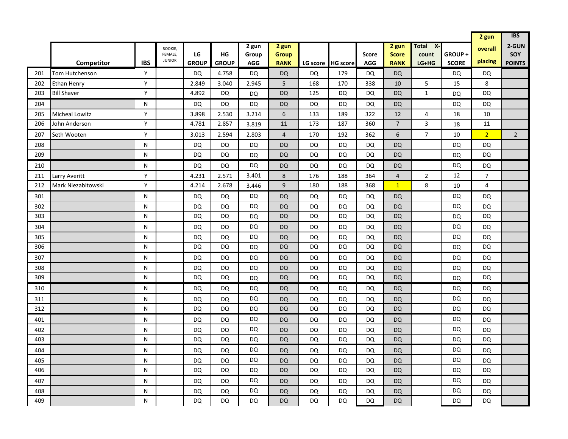|     |                       |            |                                     |                    |                    |                              |                                      |           |                   |                     |                                      |                                             | 2 gun                  | <b>IBS</b>              |                               |
|-----|-----------------------|------------|-------------------------------------|--------------------|--------------------|------------------------------|--------------------------------------|-----------|-------------------|---------------------|--------------------------------------|---------------------------------------------|------------------------|-------------------------|-------------------------------|
|     | <b>Competitor</b>     | <b>IBS</b> | ROOKIE,<br>FEMALE,<br><b>JUNIOR</b> | LG<br><b>GROUP</b> | HG<br><b>GROUP</b> | 2 gun<br>Group<br><b>AGG</b> | 2 gun<br><b>Group</b><br><b>RANK</b> |           | LG score HG score | Score<br><b>AGG</b> | 2 gun<br><b>Score</b><br><b>RANK</b> | $\overline{X}$<br>Total<br>count<br>$LG+HG$ | GROUP+<br><b>SCORE</b> | overall<br>placing      | 2-GUN<br>SOY<br><b>POINTS</b> |
| 201 | Tom Hutchenson        | Y          |                                     | <b>DQ</b>          | 4.758              | <b>DQ</b>                    | <b>DQ</b>                            | DQ        | 179               | <b>DQ</b>           | <b>DQ</b>                            |                                             | <b>DQ</b>              | DQ                      |                               |
| 202 | <b>Ethan Henry</b>    | Y          |                                     | 2.849              | 3.040              | 2.945                        | 5                                    | 168       | 170               | 338                 | 10                                   | 5                                           | 15                     | 8                       |                               |
| 203 | <b>Bill Shaver</b>    | Y          |                                     | 4.892              | <b>DQ</b>          | <b>DQ</b>                    | <b>DQ</b>                            | 125       | DQ                | <b>DQ</b>           | <b>DQ</b>                            | $\mathbf{1}$                                | <b>DQ</b>              | <b>DQ</b>               |                               |
| 204 |                       | N          |                                     | DQ                 | DQ                 | <b>DQ</b>                    | <b>DQ</b>                            | DQ        | DQ                | DQ                  | <b>DQ</b>                            |                                             | DQ                     | DQ                      |                               |
| 205 | <b>Micheal Lowitz</b> | Y          |                                     | 3.898              | 2.530              | 3.214                        | 6                                    | 133       | 189               | 322                 | 12                                   | 4                                           | 18                     | 10                      |                               |
| 206 | John Anderson         | Y          |                                     | 4.781              | 2.857              | 3.819                        | 11                                   | 173       | 187               | 360                 | $\overline{7}$                       | 3                                           | 18                     | 11                      |                               |
| 207 | Seth Wooten           | Y          |                                     | 3.013              | 2.594              | 2.803                        | $\overline{\mathbf{r}}$              | 170       | 192               | 362                 | 6                                    | $\overline{7}$                              | 10                     | $\overline{2}$          | $\overline{2}$                |
| 208 |                       | N          |                                     | <b>DQ</b>          | <b>DQ</b>          | <b>DQ</b>                    | <b>DQ</b>                            | <b>DQ</b> | <b>DQ</b>         | <b>DQ</b>           | DQ                                   |                                             | <b>DQ</b>              | <b>DQ</b>               |                               |
| 209 |                       | N          |                                     | <b>DQ</b>          | <b>DQ</b>          | <b>DQ</b>                    | <b>DQ</b>                            | DQ        | DQ                | <b>DQ</b>           | <b>DQ</b>                            |                                             | <b>DQ</b>              | <b>DQ</b>               |                               |
| 210 |                       | N          |                                     | DQ                 | DQ                 | <b>DQ</b>                    | <b>DQ</b>                            | DQ        | DQ                | <b>DQ</b>           | <b>DQ</b>                            |                                             | DQ                     | DQ                      |                               |
| 211 | Larry Averitt         | Y          |                                     | 4.231              | 2.571              | 3.401                        | 8                                    | 176       | 188               | 364                 | $\overline{4}$                       | $\overline{2}$                              | 12                     | $\overline{7}$          |                               |
| 212 | Mark Niezabitowski    | Y          |                                     | 4.214              | 2.678              | 3.446                        | $\boldsymbol{9}$                     | 180       | 188               | 368                 | $\mathbf{1}$                         | 8                                           | 10                     | $\overline{\mathbf{4}}$ |                               |
| 301 |                       | N          |                                     | DQ                 | DQ                 | <b>DQ</b>                    | <b>DQ</b>                            | DQ        | DQ                | DQ                  | <b>DQ</b>                            |                                             | <b>DQ</b>              | <b>DQ</b>               |                               |
| 302 |                       | N          |                                     | <b>DQ</b>          | DQ                 | DQ                           | <b>DQ</b>                            | DQ        | DQ                | DQ                  | <b>DQ</b>                            |                                             | DQ                     | <b>DQ</b>               |                               |
| 303 |                       | N          |                                     | DQ                 | <b>DQ</b>          | <b>DQ</b>                    | <b>DQ</b>                            | <b>DQ</b> | DQ                | <b>DQ</b>           | <b>DQ</b>                            |                                             | <b>DQ</b>              | <b>DQ</b>               |                               |
| 304 |                       | N          |                                     | DQ                 | DQ                 | <b>DQ</b>                    | <b>DQ</b>                            | DQ        | DQ                | <b>DQ</b>           | <b>DQ</b>                            |                                             | DQ                     | DQ                      |                               |
| 305 |                       | N          |                                     | <b>DQ</b>          | <b>DQ</b>          | DQ                           | <b>DQ</b>                            | DQ        | DQ                | <b>DQ</b>           | <b>DQ</b>                            |                                             | <b>DQ</b>              | <b>DQ</b>               |                               |
| 306 |                       | N          |                                     | DQ                 | <b>DQ</b>          | <b>DQ</b>                    | <b>DQ</b>                            | DQ        | DQ                | <b>DQ</b>           | <b>DQ</b>                            |                                             | <b>DQ</b>              | DQ                      |                               |
| 307 |                       | N          |                                     | <b>DQ</b>          | <b>DQ</b>          | <b>DQ</b>                    | <b>DQ</b>                            | DQ        | DQ                | <b>DQ</b>           | <b>DQ</b>                            |                                             | DQ                     | DQ                      |                               |
| 308 |                       | N          |                                     | DQ                 | <b>DQ</b>          | DQ                           | <b>DQ</b>                            | DQ        | DQ                | <b>DQ</b>           | <b>DQ</b>                            |                                             | DQ                     | DQ                      |                               |
| 309 |                       | N          |                                     | DQ                 | <b>DQ</b>          | <b>DQ</b>                    | DQ                                   | DQ        | DQ                | <b>DQ</b>           | DQ                                   |                                             | <b>DQ</b>              | DQ                      |                               |
| 310 |                       | N          |                                     | DQ                 | DQ                 | <b>DQ</b>                    | <b>DQ</b>                            | DQ        | DQ                | <b>DQ</b>           | <b>DQ</b>                            |                                             | <b>DQ</b>              | <b>DQ</b>               |                               |
| 311 |                       | N          |                                     | DQ                 | DQ                 | <b>DQ</b>                    | <b>DQ</b>                            | DQ        | DQ                | <b>DQ</b>           | <b>DQ</b>                            |                                             | DQ                     | <b>DQ</b>               |                               |
| 312 |                       | N          |                                     | DQ                 | DQ                 | DQ                           | <b>DQ</b>                            | DQ        | DQ                | DQ                  | <b>DQ</b>                            |                                             | <b>DQ</b>              | <b>DQ</b>               |                               |
| 401 |                       | N          |                                     | DQ                 | DQ                 | <b>DQ</b>                    | <b>DQ</b>                            | DQ        | DQ                | <b>DQ</b>           | <b>DQ</b>                            |                                             | <b>DQ</b>              | <b>DQ</b>               |                               |
| 402 |                       | N          |                                     | DQ                 | DQ                 | <b>DQ</b>                    | <b>DQ</b>                            | DQ        | DQ                | <b>DQ</b>           | <b>DQ</b>                            |                                             | DQ                     | <b>DQ</b>               |                               |
| 403 |                       | N          |                                     | DQ                 | DQ                 | <b>DQ</b>                    | <b>DQ</b>                            | DQ        | DQ                | <b>DQ</b>           | <b>DQ</b>                            |                                             | DQ                     | <b>DQ</b>               |                               |
| 404 |                       | N          |                                     | DQ                 | DQ                 | <b>DQ</b>                    | <b>DQ</b>                            | DQ        | DQ                | DQ                  | DQ.                                  |                                             | <b>DQ</b>              | DQ                      |                               |
| 405 |                       | N          |                                     | DQ                 | DQ                 | <b>DQ</b>                    | <b>DQ</b>                            | DQ        | DQ                | <b>DQ</b>           | <b>DQ</b>                            |                                             | <b>DQ</b>              | DQ                      |                               |
| 406 |                       | N          |                                     | DQ                 | DQ                 | <b>DQ</b>                    | <b>DQ</b>                            | DQ        | DQ                | <b>DQ</b>           | <b>DQ</b>                            |                                             | <b>DQ</b>              | <b>DQ</b>               |                               |
| 407 |                       | N          |                                     | DQ                 | DQ                 | <b>DQ</b>                    | <b>DQ</b>                            | DQ        | DQ                | DQ                  | <b>DQ</b>                            |                                             | <b>DQ</b>              | <b>DQ</b>               |                               |
| 408 |                       | N          |                                     | DQ                 | DQ                 | <b>DQ</b>                    | <b>DQ</b>                            | DQ        | DQ                | DQ                  | <b>DQ</b>                            |                                             | <b>DQ</b>              | DQ                      |                               |
| 409 |                       | N          |                                     | <b>DQ</b>          | DQ                 | DQ                           | <b>DQ</b>                            | DQ        | DQ                | <b>DQ</b>           | <b>DQ</b>                            |                                             | DQ                     | <b>DQ</b>               |                               |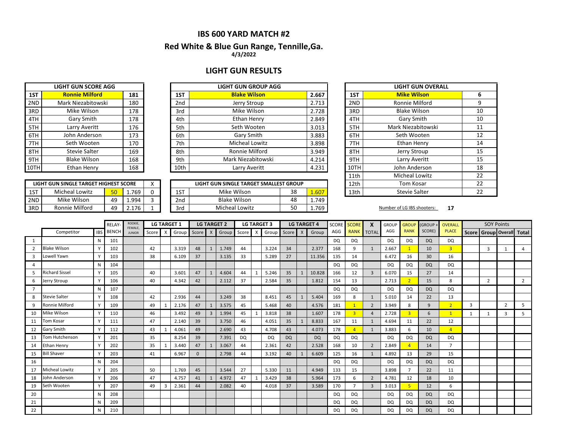### **IBS 600 YARD MATCH #2**

### **4/3/2022 Red White & Blue Gun Range, Tennille,Ga.**

### **LIGHT GUN RESULTS**

**LIGHT GUN GROUP AGG** 

|     | <b>LIGHT GUN SCORE AGG</b> |     |
|-----|----------------------------|-----|
| 1ST | <b>Ronnie Milford</b>      | 181 |
| 2ND | Mark Niezabitowski         | 180 |
| 3RD | Mike Wilson                | 178 |
| 4TH | Gary Smith                 | 178 |
| 5TH | Larry Averitt              | 176 |
| 6TH | John Anderson              | 173 |
| 7TH | Seth Wooten                | 170 |
| 8TH | Stevie Salter              | 169 |
| 9TH | <b>Blake Wilson</b>        | 168 |
|     | Ethan Henry                | 168 |

| <b>Ronnie Milford</b> | 181 |                 |                       |       |       |                                                              |
|-----------------------|-----|-----------------|-----------------------|-------|-------|--------------------------------------------------------------|
|                       |     | 1ST             | <b>Blake Wilson</b>   | 2.667 | 1ST   | <b>Mike Wilson</b>                                           |
| Mark Niezabitowski    | 180 | 2 <sub>nd</sub> | Jerry Stroup          | 2.713 |       | <b>Ronnie Milfor</b>                                         |
| Mike Wilson           | 178 | 3rd             | Mike Wilson           | 2.728 |       | <b>Blake Wilsor</b>                                          |
| Gary Smith            | 178 | 4th             | Ethan Henry           | 2.849 |       | Gary Smith                                                   |
| Larry Averitt         | 176 | 5th             | Seth Wooten           | 3.013 |       | <b>Mark Niezabitoy</b>                                       |
| John Anderson         | 173 | 6th             | Gary Smith            | 3.883 |       | Seth Wooter                                                  |
| Seth Wooten           | 170 | 7th             | <b>Micheal Lowitz</b> | 3.898 |       | <b>Ethan Henry</b>                                           |
| Stevie Salter         | 169 | 8th             | Ronnie Milford        | 3.949 |       | Jerry Stroup                                                 |
| <b>Blake Wilson</b>   | 168 | 9th             | Mark Niezabitowski    |       |       | Larry Averitt                                                |
| Ethan Henry           | 168 | 10th            | Larry Averitt         | 4.231 |       | John Anderso                                                 |
|                       |     |                 |                       |       | 4.214 | 2ND<br>3RD<br>4TH<br>5TH<br>6TH<br>7TH<br>8TH<br>9TH<br>10TH |

|     | LIGHT GUN SINGLE TARGET HIGHEST SCORE |           |       |                 | LIGHT GUN SINGLE TARGET SMALLEST GROUP |    | 12th                  | Tom Kosar |                            |    |
|-----|---------------------------------------|-----------|-------|-----------------|----------------------------------------|----|-----------------------|-----------|----------------------------|----|
| 1ST | <b>Micheal Lowitz</b>                 | <b>En</b> | 1.769 | 1ST             | Mike Wilson                            | 38 | $\sim$<br><u>_.ou</u> | 13th      | Stevie Salter              |    |
| 2ND | Mike Wilson                           | 49        | 1.994 | 2 <sub>nd</sub> | <b>Blake Wilson</b>                    | 48 | 1.749                 |           |                            |    |
| 3RD | Ronnie Milford                        | 49        | 2.176 | 3rd             | <b>Micheal Lowitz</b>                  | 50 | 1.769                 |           | Number of LG IBS shooters: | 17 |

|      | <b>LIGHT GUN OVERALL</b> |    |  |  |  |  |  |  |  |  |  |  |  |
|------|--------------------------|----|--|--|--|--|--|--|--|--|--|--|--|
| 1ST  | <b>Mike Wilson</b>       | 6  |  |  |  |  |  |  |  |  |  |  |  |
| 2ND  | Ronnie Milford           | 9  |  |  |  |  |  |  |  |  |  |  |  |
| 3RD  | <b>Blake Wilson</b>      | 10 |  |  |  |  |  |  |  |  |  |  |  |
| 4TH  | Gary Smith               | 10 |  |  |  |  |  |  |  |  |  |  |  |
| 5TH  | Mark Niezabitowski       | 11 |  |  |  |  |  |  |  |  |  |  |  |
| 6TH  | Seth Wooten              | 12 |  |  |  |  |  |  |  |  |  |  |  |
| 7TH  | Ethan Henry              | 14 |  |  |  |  |  |  |  |  |  |  |  |
| 8TH  | Jerry Stroup             | 15 |  |  |  |  |  |  |  |  |  |  |  |
| 9TH  | Larry Averitt            | 15 |  |  |  |  |  |  |  |  |  |  |  |
| 10TH | John Anderson            | 18 |  |  |  |  |  |  |  |  |  |  |  |
| 11th | <b>Micheal Lowitz</b>    | 22 |  |  |  |  |  |  |  |  |  |  |  |
| 12th | <b>Tom Kosar</b>         | 22 |  |  |  |  |  |  |  |  |  |  |  |
| 13th | Stevie Salter            | 22 |  |  |  |  |  |  |  |  |  |  |  |

|                |                       |            | <b>RELAY</b> | ROOKIE,<br>FEMALE. |       |                           | <b>LG TARGET 1</b> |              |                | <b>LG TARGET 2</b> |       |          | <b>LG TARGET 3</b> |           |              | <b>LG TARGET 4</b> | <b>SCORE</b> | <b>SCORE</b> | X              | <b>GROUP</b> | <b>GROUP</b>   | (GROUP -  | <b>OVERALL</b> |   | <b>SOY Points</b> |                                 |                |
|----------------|-----------------------|------------|--------------|--------------------|-------|---------------------------|--------------------|--------------|----------------|--------------------|-------|----------|--------------------|-----------|--------------|--------------------|--------------|--------------|----------------|--------------|----------------|-----------|----------------|---|-------------------|---------------------------------|----------------|
|                | Competitor            | <b>IBS</b> | <b>BENCH</b> | <b>JUNIOR</b>      | Score | $\boldsymbol{\mathsf{x}}$ | Group              | Score        | $\mathsf{X}$   | Group              | Score | $\times$ | Group              | Score     | $\mathsf{X}$ | Group              | AGG          | <b>RANK</b>  | <b>TOTAL</b>   | AGG          | <b>RANK</b>    | SCORE)    | <b>PLACE</b>   |   |                   | Score   Group   Overall   Total |                |
| 1              |                       | N          | 101          |                    |       |                           |                    |              |                |                    |       |          |                    |           |              |                    | DQ           | DQ           |                | <b>DQ</b>    | DQ             | DQ        | DQ             |   |                   |                                 |                |
| $\overline{2}$ | <b>Blake Wilson</b>   |            | 102          |                    | 42    |                           | 3.319              | 48           | 1              | 1.749              | 44    |          | 3.224              | 34        |              | 2.377              | 168          | 9            | 1              | 2.667        |                | 10        | $\overline{3}$ |   | $\overline{3}$    |                                 | $\overline{a}$ |
| 3              | Lowell Yawn           |            | 103          |                    | 38    |                           | 6.109              | 37           |                | 3.135              | 33    |          | 5.289              | 27        |              | 11.356             | 135          | 14           |                | 6.472        | 16             | 30        | 16             |   |                   |                                 |                |
|                |                       | N          | 104          |                    |       |                           |                    |              |                |                    |       |          |                    |           |              |                    | DQ           | <b>DQ</b>    |                | DQ           | DQ             | DQ        | DQ             |   |                   |                                 |                |
|                | <b>Richard Sissel</b> |            | 105          |                    | 40    |                           | 3.601              | 47           | 1              | 4.604              | 44    | 1        | 5.246              | 35        |              | 10.828             | 166          | 12           | $\overline{3}$ | 6.070        | 15             | 27        | 14             |   |                   |                                 |                |
| 6              | Jerry Stroup          |            | 106          |                    | 40    |                           | 4.342              | 42           |                | 2.112              | 37    |          | 2.584              | 35        |              | 1.812              | 154          | 13           |                | 2.713        |                | 15        | 8              |   | $\overline{2}$    |                                 | $\overline{2}$ |
| $\overline{7}$ |                       | N          | 107          |                    |       |                           |                    |              |                |                    |       |          |                    |           |              |                    | DQ           | DQ           |                | <b>DQ</b>    | DQ             | <b>DQ</b> | DQ             |   |                   |                                 |                |
| 8              | <b>Stevie Salter</b>  |            | 108          |                    | 42    |                           | 2.936              | 44           |                | 3.249              | 38    |          | 8.451              | 45        |              | 5.404              | 169          | 8            | 1              | 5.010        | 14             | 22        | 13             |   |                   |                                 |                |
| 9              | Ronnie Milford        | $\vee$     | 109          |                    | 49    |                           | 2.176              | 47           | $\mathbf{1}$   | 3.575              | 45    |          | 5.468              | 40        |              | 4.576              | 181          |              | $\overline{2}$ | 3.949        | 8              | 9         | 2 <sup>1</sup> | 3 |                   | $\overline{2}$                  | 5              |
| 10             | Mike Wilson           |            | 110          |                    | 46    |                           | 3.492              | 49           | $\overline{3}$ | 1.994              | 45    | -1       | 3.818              | 38        |              | 1.607              | 178          | 3            | $\overline{a}$ | 2.728        | $\overline{3}$ | 6         | $\mathbf{1}$   |   |                   | 3                               | 5              |
| 11             | Tom Kosar             |            | 111          |                    | 47    |                           | 2.140              | 39           |                | 3.750              | 46    |          | 4.051              | 35        |              | 8.833              | 167          | 11           | 1              | 4.694        | 11             | 22        | 12             |   |                   |                                 |                |
| 12             | <b>Gary Smith</b>     |            | 112          |                    | 43    |                           | 4.061              | 49           |                | 2.690              | 43    |          | 4.708              | 43        |              | 4.073              | 178          |              | $\mathbf{1}$   | 3.883        | 6              | 10        | $\overline{4}$ |   |                   |                                 |                |
| 13             | Tom Hutchenson        |            | 201          |                    | 35    |                           | 8.254              | 39           |                | 7.391              | DQ    |          | DQ                 | <b>DQ</b> |              | <b>DQ</b>          | DQ           | DQ           |                | DQ           | DQ             | DQ        | DQ             |   |                   |                                 |                |
| 14             | Ethan Henry           |            | 202          |                    | 35    |                           | 3.440              | 47           | 1              | 3.067              | 44    |          | 2.361              | 42        |              | 2.528              | 168          | 10           | $\overline{2}$ | 2.849        |                | 14        | $\overline{7}$ |   |                   |                                 |                |
| 15             | <b>Bill Shaver</b>    | $\vee$     | 203          |                    | 41    |                           | 6.967              | $\mathbf{0}$ |                | 2.798              | 44    |          | 3.192              | 40        |              | 6.609              | 125          | 16           | $\mathbf{1}$   | 4.892        | 13             | 29        | 15             |   |                   |                                 |                |
| 16             |                       | N          | 204          |                    |       |                           |                    |              |                |                    |       |          |                    |           |              |                    | DQ           | <b>DQ</b>    |                | DQ           | DQ             | DQ        | DQ             |   |                   |                                 |                |
| 17             | <b>Micheal Lowitz</b> |            | 205          |                    | 50    |                           | 1.769              | 45           |                | 3.544              | 27    |          | 5.330              | 11        |              | 4.949              | 133          | 15           |                | 3.898        |                | 22        | 11             |   |                   |                                 |                |
| 18             | John Anderson         |            | 206          |                    | 47    |                           | 4.757              | 41           | $\mathbf{1}$   | 4.972              | 47    | 1        | 3.429              | 38        |              | 5.964              | 173          | 6            | $\overline{2}$ | 4.781        | 12             | 18        | 10             |   |                   |                                 |                |
| 19             | Seth Wooten           |            | 207          |                    | 49    | 3                         | 2.361              | 44           |                | 2.082              | 40    |          | 4.018              | 37        |              | 3.589              | 170          |              | $\overline{3}$ | 3.013        | 5.             | 12        | 6              |   |                   |                                 |                |
| 20             |                       | N          | 208          |                    |       |                           |                    |              |                |                    |       |          |                    |           |              |                    | DQ           | DQ           |                | <b>DQ</b>    | DQ             | <b>DQ</b> | DQ             |   |                   |                                 |                |
| 21             |                       | N          | 209          |                    |       |                           |                    |              |                |                    |       |          |                    |           |              |                    | DQ           | DQ           |                | <b>DQ</b>    | DQ             | <b>DQ</b> | DQ             |   |                   |                                 |                |
| 22             |                       | N          | 210          |                    |       |                           |                    |              |                |                    |       |          |                    |           |              |                    | DQ           | <b>DQ</b>    |                | <b>DQ</b>    | DQ             | DQ        | DQ             |   |                   |                                 |                |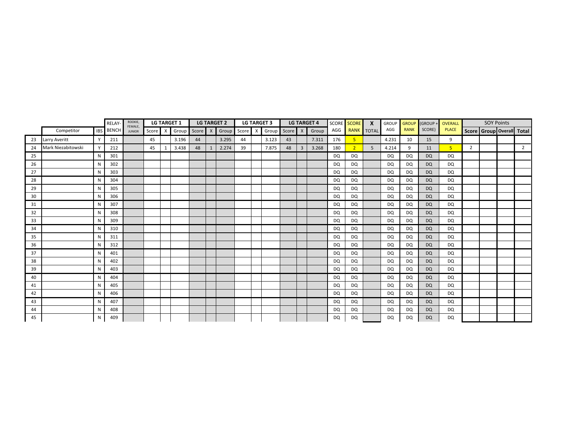|    |                      | ROOKIE,<br><b>LG TARGET 1</b><br><b>LG TARGET 2</b><br>RELAY-<br>FEMALE, |              |               |       | <b>LG TARGET 3</b> | <b>LG TARGET 4</b> |         |  | <b>SCORE</b> | <b>SCORE</b> | $\boldsymbol{X}$ | <b>GROUP</b> | <b>GROUP</b>   | (GROUP - | <b>OVERALL</b> |                | <b>SOY Points</b> |           |             |           |                |                |  |                           |
|----|----------------------|--------------------------------------------------------------------------|--------------|---------------|-------|--------------------|--------------------|---------|--|--------------|--------------|------------------|--------------|----------------|----------|----------------|----------------|-------------------|-----------|-------------|-----------|----------------|----------------|--|---------------------------|
|    | Competitor           | <b>IBS</b>                                                               | <b>BENCH</b> | <b>JUNIOR</b> | Score | $\mathsf{X}$       | Group              | Score X |  | Group        | Score X      | Group            | Score X      |                | Group    | AGG            | <b>RANK</b>    | <b>TOTAL</b>      | AGG       | <b>RANK</b> | SCORE)    | <b>PLACE</b>   |                |  | Score Group Overall Total |
| 23 | <b>Larry Averitt</b> |                                                                          | 211          |               | 45    |                    | 3.196              | 44      |  | 3.295        | 44           | 3.123            | 43           |                | 7.311    | 176            | 5              |                   | 4.231     | 10          | 15        | 9              |                |  |                           |
| 24 | Mark Niezabitowski   |                                                                          | 212          |               | 45    | 1                  | 3.438              | 48      |  | 2.274        | 39           | 7.875            | 48           | $\overline{3}$ | 3.268    | 180            | $\overline{2}$ | 5                 | 4.214     | 9           | 11        | 5 <sup>1</sup> | $\overline{2}$ |  | 2                         |
| 25 |                      | N                                                                        | 301          |               |       |                    |                    |         |  |              |              |                  |              |                |          | <b>DQ</b>      | <b>DQ</b>      |                   | <b>DQ</b> | DQ          | <b>DQ</b> | DQ             |                |  |                           |
| 26 |                      | N                                                                        | 302          |               |       |                    |                    |         |  |              |              |                  |              |                |          | DQ             | <b>DQ</b>      |                   | <b>DQ</b> | DQ          | <b>DQ</b> | DQ             |                |  |                           |
| 27 |                      | N                                                                        | 303          |               |       |                    |                    |         |  |              |              |                  |              |                |          | DQ             | <b>DQ</b>      |                   | <b>DQ</b> | DQ          | <b>DQ</b> | DQ             |                |  |                           |
| 28 |                      | N                                                                        | 304          |               |       |                    |                    |         |  |              |              |                  |              |                |          | <b>DQ</b>      | DQ             |                   | <b>DQ</b> | DQ          | <b>DQ</b> | DQ             |                |  |                           |
| 29 |                      | N                                                                        | 305          |               |       |                    |                    |         |  |              |              |                  |              |                |          | DQ             | DQ             |                   | <b>DQ</b> | DQ          | <b>DQ</b> | DQ             |                |  |                           |
| 30 |                      | N                                                                        | 306          |               |       |                    |                    |         |  |              |              |                  |              |                |          | <b>DQ</b>      | DQ             |                   | DQ        | DQ          | <b>DQ</b> | DQ             |                |  |                           |
| 31 |                      | N                                                                        | 307          |               |       |                    |                    |         |  |              |              |                  |              |                |          | DQ             | DQ             |                   | DQ        | DQ          | <b>DQ</b> | DQ             |                |  |                           |
| 32 |                      | N                                                                        | 308          |               |       |                    |                    |         |  |              |              |                  |              |                |          | <b>DQ</b>      | DQ             |                   | <b>DQ</b> | DQ          | <b>DQ</b> | DQ             |                |  |                           |
| 33 |                      | N                                                                        | 309          |               |       |                    |                    |         |  |              |              |                  |              |                |          | <b>DQ</b>      | <b>DQ</b>      |                   | <b>DQ</b> | DQ          | <b>DQ</b> | DQ             |                |  |                           |
| 34 |                      | N                                                                        | 310          |               |       |                    |                    |         |  |              |              |                  |              |                |          | <b>DQ</b>      | <b>DQ</b>      |                   | <b>DQ</b> | DQ          | <b>DQ</b> | DQ             |                |  |                           |
| 35 |                      | N                                                                        | 311          |               |       |                    |                    |         |  |              |              |                  |              |                |          | <b>DQ</b>      | <b>DQ</b>      |                   | <b>DQ</b> | DQ          | <b>DQ</b> | DQ             |                |  |                           |
| 36 |                      | N                                                                        | 312          |               |       |                    |                    |         |  |              |              |                  |              |                |          | <b>DQ</b>      | <b>DQ</b>      |                   | <b>DQ</b> | DQ          | <b>DQ</b> | <b>DQ</b>      |                |  |                           |
| 37 |                      | N                                                                        | 401          |               |       |                    |                    |         |  |              |              |                  |              |                |          | <b>DQ</b>      | <b>DQ</b>      |                   | <b>DQ</b> | DQ          | <b>DQ</b> | DQ             |                |  |                           |
| 38 |                      | N                                                                        | 402          |               |       |                    |                    |         |  |              |              |                  |              |                |          | <b>DQ</b>      | DQ             |                   | <b>DQ</b> | DQ          | <b>DQ</b> | DQ             |                |  |                           |
| 39 |                      | N                                                                        | 403          |               |       |                    |                    |         |  |              |              |                  |              |                |          | <b>DQ</b>      | DQ             |                   | DQ        | DQ          | <b>DQ</b> | DQ             |                |  |                           |
| 40 |                      | N                                                                        | 404          |               |       |                    |                    |         |  |              |              |                  |              |                |          | <b>DQ</b>      | DQ             |                   | <b>DQ</b> | DQ          | <b>DQ</b> | DQ             |                |  |                           |
| 41 |                      | N                                                                        | 405          |               |       |                    |                    |         |  |              |              |                  |              |                |          | <b>DQ</b>      | DQ             |                   | <b>DQ</b> | DQ          | <b>DQ</b> | DQ             |                |  |                           |
| 42 |                      | N                                                                        | 406          |               |       |                    |                    |         |  |              |              |                  |              |                |          | <b>DQ</b>      | DQ             |                   | DQ        | DQ          | <b>DQ</b> | DQ             |                |  |                           |
| 43 |                      | N                                                                        | 407          |               |       |                    |                    |         |  |              |              |                  |              |                |          | DQ             | DQ             |                   | DQ        | DQ          | <b>DQ</b> | DQ             |                |  |                           |
| 44 |                      | N                                                                        | 408          |               |       |                    |                    |         |  |              |              |                  |              |                |          | <b>DQ</b>      | <b>DQ</b>      |                   | <b>DQ</b> | DQ          | <b>DQ</b> | DQ             |                |  |                           |
| 45 |                      | N                                                                        | 409          |               |       |                    |                    |         |  |              |              |                  |              |                |          | <b>DQ</b>      | <b>DQ</b>      |                   | <b>DQ</b> | DQ          | <b>DQ</b> | <b>DQ</b>      |                |  |                           |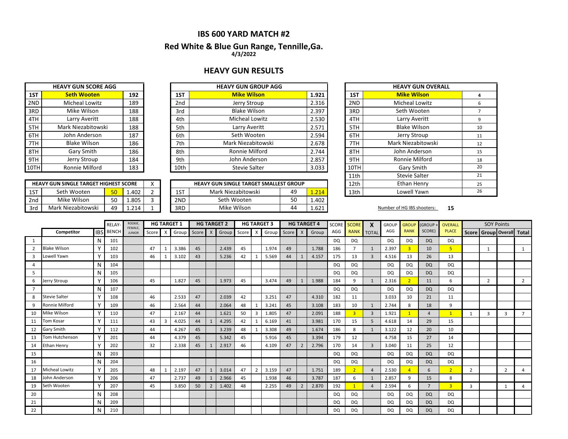### **IBS 600 YARD MATCH #2**

### **Red White & Blue Gun Range, Tennille,Ga. 4/3/2022**

### **HEAVY GUN RESULTS**

|      | <b>HEAVY GUN SCORE AGG</b> |     |                 | <b>HEAVY GUN GROUP AGG</b> |       |
|------|----------------------------|-----|-----------------|----------------------------|-------|
| 1ST  | <b>Seth Wooten</b>         | 192 | 1ST             | <b>Mike Wilson</b>         | 1.921 |
| 2ND  | Micheal Lowitz             | 189 | 2 <sub>nd</sub> | Jerry Stroup               | 2.316 |
| 3RD  | Mike Wilson                | 188 | 3rd             | <b>Blake Wilson</b>        | 2.397 |
| 4TH  | Larry Averitt              | 188 | 4th             | <b>Micheal Lowitz</b>      | 2.530 |
| 5TH  | Mark Niezabitowski         | 188 | 5th             | Larry Averitt              | 2.571 |
| 6TH  | John Anderson              | 187 | 6th             | Seth Wooten                | 2.594 |
| 7TH  | <b>Blake Wilson</b>        | 186 | 7th             | Mark Niezabitowski         | 2.678 |
| 8TH  | Gary Smith                 | 186 | 8th             | Ronnie Milford             | 2.744 |
| 9TH  | Jerry Stroup               | 184 | 9th             | John Anderson              | 2.857 |
| 10TH | Ronnie Milford             | 183 | 10th            | <b>Stevie Salter</b>       | 3.033 |

| 1ST  | <b>Seth Wooten</b>    | 192 | 1ST             | <b>Mike Wilson</b>    | 1.921 | 1ST  |
|------|-----------------------|-----|-----------------|-----------------------|-------|------|
| 2ND  | <b>Micheal Lowitz</b> | 189 | 2 <sub>nd</sub> | Jerry Stroup          | 2.316 | 2ND  |
| 3RD  | Mike Wilson           | 188 | 3rd             | <b>Blake Wilson</b>   | 2.397 | 3RD  |
| 4TH  | Larry Averitt         | 188 | 4th             | <b>Micheal Lowitz</b> | 2.530 | 4TH  |
| 5TH  | Mark Niezabitowski    | 188 | 5th             | Larry Averitt         | 2.571 | 5TH  |
| 6TH  | John Anderson         | 187 | 6th             | Seth Wooten           | 2.594 | 6TH  |
| 7TH  | <b>Blake Wilson</b>   | 186 | 7th             | Mark Niezabitowski    | 2.678 | 7TH  |
| 8TH  | Gary Smith            | 186 | 8th             | Ronnie Milford        | 2.744 | 8TH  |
| 9TH  | Jerry Stroup          | 184 | 9th             | John Anderson         | 2.857 | 9TH  |
| 10TH | Ronnie Milford        | 183 | 10th            | <b>Stevie Salter</b>  | 3.033 | 10TH |

|     | <b>HEAVY GUN SINGLE TARGET HIGHEST SCORE</b> |                 |       |  |     | <b>HEAVY GUN SINGLE TARGET SMALLEST GROUP</b> |    |           | 12th | Ethan Henry                |    |
|-----|----------------------------------------------|-----------------|-------|--|-----|-----------------------------------------------|----|-----------|------|----------------------------|----|
| 1ST | Seth Wooten                                  | 50 <sub>1</sub> | 1.402 |  | 1ST | Mark Niezabitowski                            | 49 | $\pm 214$ | 13th | Lowell Yawn                |    |
| 2nd | Mike Wilson                                  | cη              | 1.805 |  | 2ND | Seth Wooten                                   | 50 | 1.402     |      |                            |    |
| 3rd | Mark Niezabitowski                           | 49              | 1.214 |  | 3RD | Mike Wilson                                   | 44 | 1.621     |      | Number of HG IBS shooters: | 15 |

| <b>HEAVY GUN GROUP AGG</b>              |             |      | <b>HEAVY GUN OVERALL</b> |    |
|-----------------------------------------|-------------|------|--------------------------|----|
| <b>Mike Wilson</b>                      | 1.921       | 1ST  | <b>Mike Wilson</b>       | 4  |
| Jerry Stroup                            | 2.316       | 2ND  | <b>Micheal Lowitz</b>    | 6  |
| <b>Blake Wilson</b>                     | 2.397       | 3RD  | Seth Wooten              | 7  |
| <b>Micheal Lowitz</b>                   | 2.530       | 4TH  | Larry Averitt            | 9  |
| Larry Averitt                           | 2.571       | 5TH  | <b>Blake Wilson</b>      | 10 |
| Seth Wooten                             | 2.594       | 6TH  | Jerry Stroup             | 11 |
| Mark Niezabitowski                      | 2.678       | 7TH  | Mark Niezabitowski       | 12 |
| Ronnie Milford                          | 2.744       | 8TH  | John Anderson            | 15 |
| John Anderson                           | 2.857       | 9TH  | Ronnie Milford           | 18 |
| <b>Stevie Salter</b>                    | 3.033       | 10TH | Gary Smith               | 20 |
|                                         |             | 11th | <b>Stevie Salter</b>     | 21 |
| <b>GUN SINGLE TARGET SMALLEST GROUP</b> |             | 12th | Ethan Henry              | 25 |
| Mark Niezabitowski                      | 49<br>1.214 | 13th | Lowell Yawn              | 26 |

|                |                       |            | <b>RELAY</b> | <b>ROOKIE</b><br>FEMALE, |    |   | <b>HG TARGET 1</b> |         |                | <b>HG TARGET 2</b>          |    |             | <b>HG TARGET 3</b> |    |                | <b>HG TARGET 4</b> |           | SCORE SCORE    | X              | <b>GROUP</b> | <b>GROUP</b>   | (GROUP+        | <b>OVERALL</b> |                | <b>SOY Points</b> |                                 |                |
|----------------|-----------------------|------------|--------------|--------------------------|----|---|--------------------|---------|----------------|-----------------------------|----|-------------|--------------------|----|----------------|--------------------|-----------|----------------|----------------|--------------|----------------|----------------|----------------|----------------|-------------------|---------------------------------|----------------|
|                | Competitor            | <b>IBS</b> | <b>BENCH</b> | <b>JUNIOR</b>            |    |   | Score X Group      | Score X |                | Group Score X Group Score X |    |             |                    |    |                | Group              | AGG       | RANK TOTAL     |                | AGG          | <b>RANK</b>    | SCORE)         | <b>PLACE</b>   |                |                   | Score   Group   Overall   Total |                |
| 1              |                       | N          | 101          |                          |    |   |                    |         |                |                             |    |             |                    |    |                |                    | <b>DQ</b> | DQ             |                | DQ           | DQ             | <b>DQ</b>      | DQ             |                |                   |                                 |                |
| $\overline{2}$ | <b>Blake Wilson</b>   |            | 102          |                          | 47 |   | 3.386              | 45      |                | 2.439                       | 45 |             | 1.974              | 49 |                | 1.788              | 186       | $\overline{7}$ | 1              | 2.397        | $\overline{3}$ | 10             | 5 <sup>1</sup> |                |                   |                                 |                |
| 3              | Lowell Yawn           |            | 103          |                          | 46 |   | 3.102              | 43      |                | 5.236                       | 42 |             | 5.569              | 44 |                | 4.157              | 175       | 13             | $\overline{3}$ | 4.516        | 13             | 26             | 13             |                |                   |                                 |                |
| 4              |                       | N          | 104          |                          |    |   |                    |         |                |                             |    |             |                    |    |                |                    | DQ.       | <b>DQ</b>      |                | DQ           | DQ             | <b>DQ</b>      | DQ             |                |                   |                                 |                |
| 5              |                       | N          | 105          |                          |    |   |                    |         |                |                             |    |             |                    |    |                |                    | <b>DQ</b> | <b>DQ</b>      |                | DQ           | <b>DQ</b>      | <b>DQ</b>      | DQ             |                |                   |                                 |                |
| 6              | Jerry Stroup          |            | 106          |                          | 45 |   | 1.827              | 45      |                | 1.973                       | 45 |             | 3.474              | 49 |                | 1.988              | 184       | q              | $\mathbf{1}$   | 2.316        | $\overline{2}$ | 11             | 6              |                | $\overline{2}$    |                                 | $\overline{2}$ |
| $\overline{7}$ |                       | N          | 107          |                          |    |   |                    |         |                |                             |    |             |                    |    |                |                    | DQ        | DQ             |                | DQ           | DQ             | <b>DQ</b>      | DQ             |                |                   |                                 |                |
| 8              | <b>Stevie Salter</b>  |            | 108          |                          | 46 |   | 2.533              | 47      |                | 2.039                       | 42 |             | 3.251              | 47 |                | 4.310              | 182       | 11             |                | 3.033        | 10             | 21             | 11             |                |                   |                                 |                |
| 9              | Ronnie Milford        | v          | 109          |                          | 46 |   | 2.564              | 44      |                | 2.064                       | 48 | 1           | 3.241              | 45 |                | 3.108              | 183       | 10             | $\mathbf{1}$   | 2.744        | 8              | 18             | 9              |                |                   |                                 |                |
| 10             | Mike Wilson           |            | 110          |                          | 47 |   | 2.167              | 44      |                | 1.621                       | 50 | 3           | 1.805              | 47 |                | 2.091              | 188       | $\overline{3}$ | $\overline{3}$ | 1.921        |                | $\overline{4}$ | $\mathbf{1}$   |                | $\overline{3}$    | 3                               | $\overline{7}$ |
| 11             | Tom Kosar             |            | 111          |                          | 43 | 3 | 4.025              | 44      | -1             | 4.295                       | 42 |             | 6.169              | 41 |                | 3.981              | 170       | 15             | 5              | 4.618        | 14             | 29             | 15             |                |                   |                                 |                |
| 12             | <b>Gary Smith</b>     |            | 112          |                          | 44 |   | 4.267              | 45      |                | 3.239                       | 48 |             | 3.308              | 49 |                | 1.674              | 186       | 8              | $\mathbf{1}$   | 3.122        | 12             | 20             | 10             |                |                   |                                 |                |
| 13             | Tom Hutchenson        |            | 201          |                          | 44 |   | 4.379              | 45      |                | 5.342                       | 45 |             | 5.916              | 45 |                | 3.394              | 179       | 12             |                | 4.758        | 15             | 27             | 14             |                |                   |                                 |                |
| 14             | Ethan Henry           |            | 202          |                          | 32 |   | 2.338              | 45      |                | 2.917                       | 46 |             | 4.109              | 47 |                | 2.796              | 170       | 14             | $\overline{3}$ | 3.040        | 11             | 25             | 12             |                |                   |                                 |                |
| 15             |                       | N          | 203          |                          |    |   |                    |         |                |                             |    |             |                    |    |                |                    | DQ        | <b>DQ</b>      |                | DQ           | DQ             | <b>DQ</b>      | DQ             |                |                   |                                 |                |
| 16             |                       | N          | 204          |                          |    |   |                    |         |                |                             |    |             |                    |    |                |                    | <b>DQ</b> | <b>DQ</b>      |                | <b>DQ</b>    | DQ             | <b>DQ</b>      | DQ             |                |                   |                                 |                |
| 17             | <b>Micheal Lowitz</b> |            | 205          |                          | 48 |   | 2.197              | 47      | $\mathbf{1}$   | 3.014                       | 47 | $2^{\circ}$ | 3.159              | 47 |                | 1.751              | 189       |                | $\overline{4}$ | 2.530        |                | 6              | $\overline{2}$ | $\overline{2}$ |                   | 2                               |                |
| 18             | John Anderson         |            | 206          |                          | 47 |   | 2.737              | 49      | $\mathbf{1}$   | 2.966                       | 45 |             | 1.938              | 46 |                | 3.787              | 187       | 6              | $\mathbf{1}$   | 2.857        | 9              | 15             | 8              |                |                   |                                 |                |
| 19             | Seth Wooten           |            | 207          |                          | 45 |   | 3.850              | 50      | $\overline{2}$ | 1.402                       | 48 |             | 2.255              | 49 | $\overline{2}$ | 2.870              | 192       |                | $\overline{4}$ | 2.594        | 6              | $\overline{7}$ | $\overline{3}$ | 3              |                   |                                 |                |
| 20             |                       | N          | 208          |                          |    |   |                    |         |                |                             |    |             |                    |    |                |                    | DQ        | <b>DQ</b>      |                | DQ           | DQ             | <b>DQ</b>      | DQ             |                |                   |                                 |                |
| 21             |                       | N          | 209          |                          |    |   |                    |         |                |                             |    |             |                    |    |                |                    | <b>DQ</b> | <b>DQ</b>      |                | DQ           | DQ             | <b>DQ</b>      | DQ             |                |                   |                                 |                |
| 22             |                       | N          | 210          |                          |    |   |                    |         |                |                             |    |             |                    |    |                |                    | DQ        | DQ             |                | DQ           | DQ             | DQ             | DQ             |                |                   |                                 |                |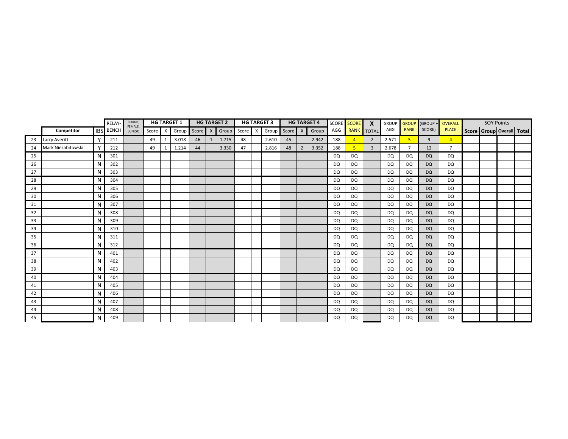|    |                      |            | RELAY-       | ROOKIE,<br>FEMALE, |       |              | <b>HG TARGET 1</b> |       |              | <b>HG TARGET 2</b> |         | <b>HG TARGET 3</b> |               |                | <b>HG TARGET 4</b> | <b>SCORE</b> | <b>SCORE</b>   | $\boldsymbol{\mathsf{x}}$ | <b>GROUP</b> | <b>GROUP</b> | (GROUP -  | OVERALL        | <b>SOY Points</b> |                           |
|----|----------------------|------------|--------------|--------------------|-------|--------------|--------------------|-------|--------------|--------------------|---------|--------------------|---------------|----------------|--------------------|--------------|----------------|---------------------------|--------------|--------------|-----------|----------------|-------------------|---------------------------|
|    | Competitor           | <b>IBS</b> | <b>BENCH</b> | <b>JUNIOR</b>      | Score | $\mathsf{x}$ | Group              | Score | $\mathsf{X}$ | Group              | Score X |                    | Group Score X |                | Group              | AGG          | <b>RANK</b>    | <b>TOTAL</b>              | AGG          | <b>RANK</b>  | SCORE)    | <b>PLACE</b>   |                   | Score Group Overall Total |
| 23 | <b>Larry Averitt</b> | Y          | 211          |                    | 49    | 1            | 3.018              | 46    | 1            | 1.715              | 48      | 2.610              | 45            |                | 2.942              | 188          | $\overline{A}$ | 2                         | 2.571        | 5            | 9         | $\overline{4}$ |                   |                           |
| 24 | Mark Niezabitowski   | Y          | 212          |                    | 49    |              | 1.214              | 44    |              | 3.330              | 47      | 2.816              | 48            | $\overline{2}$ | 3.352              | 188          | 5              | 3                         | 2.678        |              | 12        | $\overline{7}$ |                   |                           |
| 25 |                      | N          | 301          |                    |       |              |                    |       |              |                    |         |                    |               |                |                    | <b>DQ</b>    | <b>DQ</b>      |                           | <b>DQ</b>    | DQ           | <b>DQ</b> | DQ             |                   |                           |
| 26 |                      | N          | 302          |                    |       |              |                    |       |              |                    |         |                    |               |                |                    | DQ           | DQ             |                           | <b>DQ</b>    | DQ           | <b>DQ</b> | DQ             |                   |                           |
| 27 |                      | N          | 303          |                    |       |              |                    |       |              |                    |         |                    |               |                |                    | <b>DQ</b>    | DQ             |                           | DQ           | DQ           | <b>DQ</b> | DQ             |                   |                           |
| 28 |                      | N          | 304          |                    |       |              |                    |       |              |                    |         |                    |               |                |                    | DQ           | DQ             |                           | DQ           | DQ           | <b>DQ</b> | DQ             |                   |                           |
| 29 |                      | N          | 305          |                    |       |              |                    |       |              |                    |         |                    |               |                |                    | <b>DQ</b>    | DQ             |                           | <b>DQ</b>    | DQ           | <b>DQ</b> | DQ             |                   |                           |
| 30 |                      | N          | 306          |                    |       |              |                    |       |              |                    |         |                    |               |                |                    | <b>DQ</b>    | DQ             |                           | DQ           | DQ           | <b>DQ</b> | DQ             |                   |                           |
| 31 |                      | N          | 307          |                    |       |              |                    |       |              |                    |         |                    |               |                |                    | <b>DQ</b>    | <b>DQ</b>      |                           | <b>DQ</b>    | DQ           | <b>DQ</b> | DQ             |                   |                           |
| 32 |                      | N          | 308          |                    |       |              |                    |       |              |                    |         |                    |               |                |                    | DQ           | DQ             |                           | <b>DQ</b>    | DQ           | <b>DQ</b> | DQ             |                   |                           |
| 33 |                      | N          | 309          |                    |       |              |                    |       |              |                    |         |                    |               |                |                    | <b>DQ</b>    | <b>DQ</b>      |                           | <b>DQ</b>    | DQ           | <b>DQ</b> | DQ             |                   |                           |
| 34 |                      | N          | 310          |                    |       |              |                    |       |              |                    |         |                    |               |                |                    | <b>DQ</b>    | <b>DQ</b>      |                           | <b>DQ</b>    | DQ           | <b>DQ</b> | DQ             |                   |                           |
| 35 |                      | N          | 311          |                    |       |              |                    |       |              |                    |         |                    |               |                |                    | <b>DQ</b>    | <b>DQ</b>      |                           | <b>DQ</b>    | DQ           | <b>DQ</b> | DQ             |                   |                           |
| 36 |                      | N          | 312          |                    |       |              |                    |       |              |                    |         |                    |               |                |                    | <b>DQ</b>    | DQ             |                           | <b>DQ</b>    | DQ           | <b>DQ</b> | DQ             |                   |                           |
| 37 |                      | N          | 401          |                    |       |              |                    |       |              |                    |         |                    |               |                |                    | <b>DQ</b>    | <b>DQ</b>      |                           | <b>DQ</b>    | DQ           | <b>DQ</b> | DQ             |                   |                           |
| 38 |                      | N          | 402          |                    |       |              |                    |       |              |                    |         |                    |               |                |                    | <b>DQ</b>    | DQ             |                           | <b>DQ</b>    | DQ           | <b>DQ</b> | DQ             |                   |                           |
| 39 |                      | N          | 403          |                    |       |              |                    |       |              |                    |         |                    |               |                |                    | <b>DQ</b>    | DQ             |                           | <b>DQ</b>    | DQ           | <b>DQ</b> | DQ             |                   |                           |
| 40 |                      | N          | 404          |                    |       |              |                    |       |              |                    |         |                    |               |                |                    | <b>DQ</b>    | DQ             |                           | DQ           | DQ           | <b>DQ</b> | DQ             |                   |                           |
| 41 |                      | N          | 405          |                    |       |              |                    |       |              |                    |         |                    |               |                |                    | <b>DQ</b>    | DQ             |                           | <b>DQ</b>    | DQ           | <b>DQ</b> | DQ             |                   |                           |
| 42 |                      | N          | 406          |                    |       |              |                    |       |              |                    |         |                    |               |                |                    | <b>DQ</b>    | DQ             |                           | DQ           | DQ           | <b>DQ</b> | DQ             |                   |                           |
| 43 |                      | N          | 407          |                    |       |              |                    |       |              |                    |         |                    |               |                |                    | <b>DQ</b>    | DQ             |                           | DQ           | DQ           | <b>DQ</b> | DQ             |                   |                           |
| 44 |                      | N          | 408          |                    |       |              |                    |       |              |                    |         |                    |               |                |                    | <b>DQ</b>    | <b>DQ</b>      |                           | <b>DQ</b>    | DQ           | <b>DQ</b> | DQ             |                   |                           |
| 45 |                      | N          | 409          |                    |       |              |                    |       |              |                    |         |                    |               |                |                    | <b>DQ</b>    | <b>DQ</b>      |                           | <b>DQ</b>    | DQ           | <b>DQ</b> | <b>DQ</b>      |                   |                           |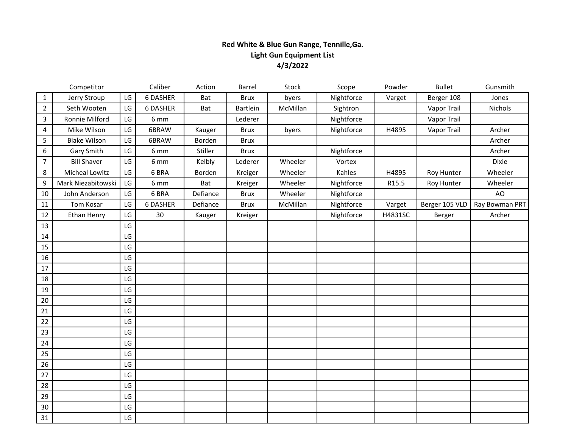# **Red White & Blue Gun Range, Tennille,Ga. Light Gun Equipment List 4/3/2022**

|                | Competitor          |                        | Caliber        | Action   | Barrel          | Stock    | Scope      | Powder  | <b>Bullet</b>  | Gunsmith       |
|----------------|---------------------|------------------------|----------------|----------|-----------------|----------|------------|---------|----------------|----------------|
| $\mathbf{1}$   | Jerry Stroup        | LG                     | 6 DASHER       | Bat      | <b>Brux</b>     | byers    | Nightforce | Varget  | Berger 108     | Jones          |
| $\overline{2}$ | Seth Wooten         | LG                     | 6 DASHER       | Bat      | <b>Bartlein</b> | McMillan | Sightron   |         | Vapor Trail    | Nichols        |
| 3              | Ronnie Milford      | LG                     | 6 mm           |          | Lederer         |          | Nightforce |         | Vapor Trail    |                |
| 4              | Mike Wilson         | LG                     | 6BRAW          | Kauger   | <b>Brux</b>     | byers    | Nightforce | H4895   | Vapor Trail    | Archer         |
| 5              | <b>Blake Wilson</b> | LG                     | 6BRAW          | Borden   | <b>Brux</b>     |          |            |         |                | Archer         |
| 6              | Gary Smith          | $\mathsf{L}\mathsf{G}$ | 6 mm           | Stiller  | <b>Brux</b>     |          | Nightforce |         |                | Archer         |
| $\overline{7}$ | <b>Bill Shaver</b>  | LG                     | 6 mm           | Kelbly   | Lederer         | Wheeler  | Vortex     |         |                | Dixie          |
| 8              | Micheal Lowitz      | LG                     | 6 BRA          | Borden   | Kreiger         | Wheeler  | Kahles     | H4895   | Roy Hunter     | Wheeler        |
| 9              | Mark Niezabitowski  | LG                     | $6 \text{ mm}$ | Bat      | Kreiger         | Wheeler  | Nightforce | R15.5   | Roy Hunter     | Wheeler        |
| 10             | John Anderson       | $\mathsf{L}\mathsf{G}$ | 6 BRA          | Defiance | <b>Brux</b>     | Wheeler  | Nightforce |         |                | AO             |
| 11             | Tom Kosar           | LG                     | 6 DASHER       | Defiance | <b>Brux</b>     | McMillan | Nightforce | Varget  | Berger 105 VLD | Ray Bowman PRT |
| 12             | <b>Ethan Henry</b>  | LG                     | 30             | Kauger   | Kreiger         |          | Nightforce | H4831SC | Berger         | Archer         |
| 13             |                     | LG                     |                |          |                 |          |            |         |                |                |
| 14             |                     | LG                     |                |          |                 |          |            |         |                |                |
| 15             |                     | LG                     |                |          |                 |          |            |         |                |                |
| 16             |                     | LG                     |                |          |                 |          |            |         |                |                |
| 17             |                     | LG                     |                |          |                 |          |            |         |                |                |
| 18             |                     | LG                     |                |          |                 |          |            |         |                |                |
| 19             |                     | LG                     |                |          |                 |          |            |         |                |                |
| 20             |                     | LG                     |                |          |                 |          |            |         |                |                |
| 21             |                     | LG                     |                |          |                 |          |            |         |                |                |
| 22             |                     | LG                     |                |          |                 |          |            |         |                |                |
| 23             |                     | LG                     |                |          |                 |          |            |         |                |                |
| 24             |                     | LG                     |                |          |                 |          |            |         |                |                |
| 25             |                     | LG                     |                |          |                 |          |            |         |                |                |
| 26             |                     | LG                     |                |          |                 |          |            |         |                |                |
| 27             |                     | LG                     |                |          |                 |          |            |         |                |                |
| 28             |                     | LG                     |                |          |                 |          |            |         |                |                |
| 29             |                     | LG                     |                |          |                 |          |            |         |                |                |
| 30             |                     | $\mathsf{L}\mathsf{G}$ |                |          |                 |          |            |         |                |                |
| 31             |                     | $\mathsf{L}\mathsf{G}$ |                |          |                 |          |            |         |                |                |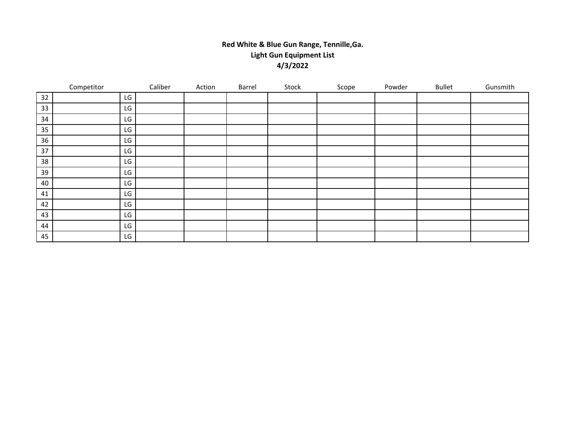# **Red White & Blue Gun Range, Tennille,Ga. Light Gun Equipment List 4/3/2022**

|    | Competitor |    | Caliber | Action | Barrel | Stock | Scope | Powder | <b>Bullet</b> | Gunsmith |
|----|------------|----|---------|--------|--------|-------|-------|--------|---------------|----------|
| 32 |            | LG |         |        |        |       |       |        |               |          |
| 33 |            | LG |         |        |        |       |       |        |               |          |
| 34 |            | LG |         |        |        |       |       |        |               |          |
| 35 |            | LG |         |        |        |       |       |        |               |          |
| 36 |            | LG |         |        |        |       |       |        |               |          |
| 37 |            | LG |         |        |        |       |       |        |               |          |
| 38 |            | LG |         |        |        |       |       |        |               |          |
| 39 |            | LG |         |        |        |       |       |        |               |          |
| 40 |            | LG |         |        |        |       |       |        |               |          |
| 41 |            | LG |         |        |        |       |       |        |               |          |
| 42 |            | LG |         |        |        |       |       |        |               |          |
| 43 |            | LG |         |        |        |       |       |        |               |          |
| 44 |            | LG |         |        |        |       |       |        |               |          |
| 45 |            | LG |         |        |        |       |       |        |               |          |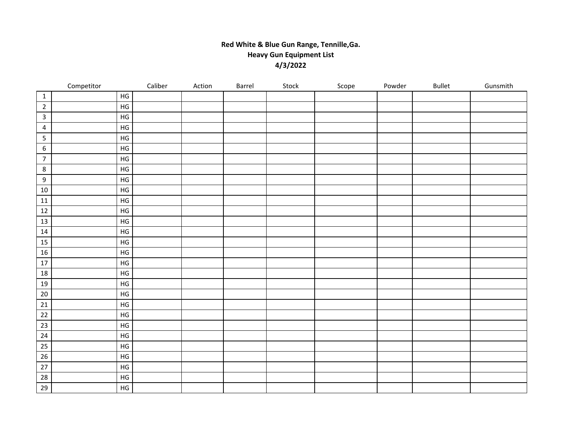## **Red White & Blue Gun Range, Tennille,Ga. Heavy Gun Equipment List 4/3/2022**

|                         | Competitor |               | Caliber | Action | Barrel | Stock | Scope | Powder | <b>Bullet</b> | Gunsmith |
|-------------------------|------------|---------------|---------|--------|--------|-------|-------|--------|---------------|----------|
| $\mathbf{1}$            |            | $\mathsf{HG}$ |         |        |        |       |       |        |               |          |
| $\overline{2}$          |            | $\mathsf{HG}$ |         |        |        |       |       |        |               |          |
| $\mathbf{3}$            |            | $\mathsf{HG}$ |         |        |        |       |       |        |               |          |
| $\overline{\mathbf{4}}$ |            | $\mathsf{HG}$ |         |        |        |       |       |        |               |          |
| 5                       |            | $\mathsf{HG}$ |         |        |        |       |       |        |               |          |
| $\boldsymbol{6}$        |            | $\mathsf{HG}$ |         |        |        |       |       |        |               |          |
| $\overline{7}$          |            | $\mathsf{HG}$ |         |        |        |       |       |        |               |          |
| 8                       |            | $\mathsf{HG}$ |         |        |        |       |       |        |               |          |
| $\mathsf g$             |            | $\mathsf{HG}$ |         |        |        |       |       |        |               |          |
| $10\,$                  |            | $\mathsf{HG}$ |         |        |        |       |       |        |               |          |
| 11                      |            | $\mathsf{HG}$ |         |        |        |       |       |        |               |          |
| $12\,$                  |            | $\mathsf{HG}$ |         |        |        |       |       |        |               |          |
| 13                      |            | $\mathsf{HG}$ |         |        |        |       |       |        |               |          |
| 14                      |            | $\mathsf{HG}$ |         |        |        |       |       |        |               |          |
| $15\,$                  |            | $\mathsf{HG}$ |         |        |        |       |       |        |               |          |
| 16                      |            | $\mathsf{HG}$ |         |        |        |       |       |        |               |          |
| $17\,$                  |            | $\mathsf{HG}$ |         |        |        |       |       |        |               |          |
| $18\,$                  |            | $\mathsf{HG}$ |         |        |        |       |       |        |               |          |
| $19\,$                  |            | $\mathsf{HG}$ |         |        |        |       |       |        |               |          |
| $20\,$                  |            | ${\sf HG}$    |         |        |        |       |       |        |               |          |
| $21\,$                  |            | $\mathsf{HG}$ |         |        |        |       |       |        |               |          |
| $22\,$                  |            | $\mathsf{HG}$ |         |        |        |       |       |        |               |          |
| 23                      |            | $\mathsf{HG}$ |         |        |        |       |       |        |               |          |
| 24                      |            | $\mathsf{HG}$ |         |        |        |       |       |        |               |          |
| 25                      |            | $\mathsf{HG}$ |         |        |        |       |       |        |               |          |
| $26\,$                  |            | $\mathsf{HG}$ |         |        |        |       |       |        |               |          |
| $27\,$                  |            | $\mathsf{HG}$ |         |        |        |       |       |        |               |          |
| $28\,$                  |            | $\mathsf{HG}$ |         |        |        |       |       |        |               |          |
| 29                      |            | $\mathsf{HG}$ |         |        |        |       |       |        |               |          |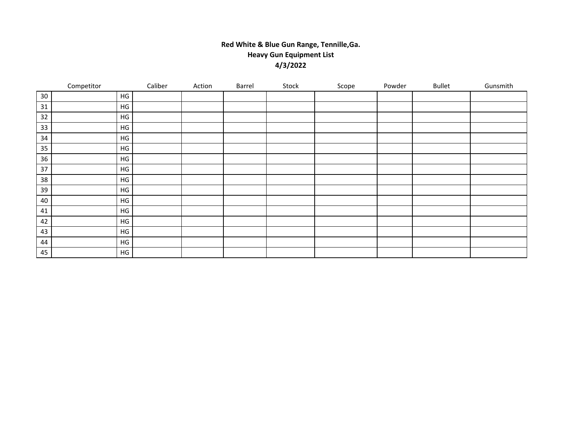## **Red White & Blue Gun Range, Tennille,Ga. Heavy Gun Equipment List 4/3/2022**

|    | Competitor    | Caliber | Action | Barrel | Stock | Scope | Powder | <b>Bullet</b> | Gunsmith |
|----|---------------|---------|--------|--------|-------|-------|--------|---------------|----------|
| 30 | HG            |         |        |        |       |       |        |               |          |
| 31 | HG            |         |        |        |       |       |        |               |          |
| 32 | $\mathsf{HG}$ |         |        |        |       |       |        |               |          |
| 33 | $\mathsf{HG}$ |         |        |        |       |       |        |               |          |
| 34 | HG            |         |        |        |       |       |        |               |          |
| 35 | $\mathsf{HG}$ |         |        |        |       |       |        |               |          |
| 36 | HG            |         |        |        |       |       |        |               |          |
| 37 | $\mathsf{HG}$ |         |        |        |       |       |        |               |          |
| 38 | $\mathsf{HG}$ |         |        |        |       |       |        |               |          |
| 39 | HG            |         |        |        |       |       |        |               |          |
| 40 | HG            |         |        |        |       |       |        |               |          |
| 41 | $\mathsf{HG}$ |         |        |        |       |       |        |               |          |
| 42 | ${\sf HG}$    |         |        |        |       |       |        |               |          |
| 43 | HG            |         |        |        |       |       |        |               |          |
| 44 | HG            |         |        |        |       |       |        |               |          |
| 45 | HG            |         |        |        |       |       |        |               |          |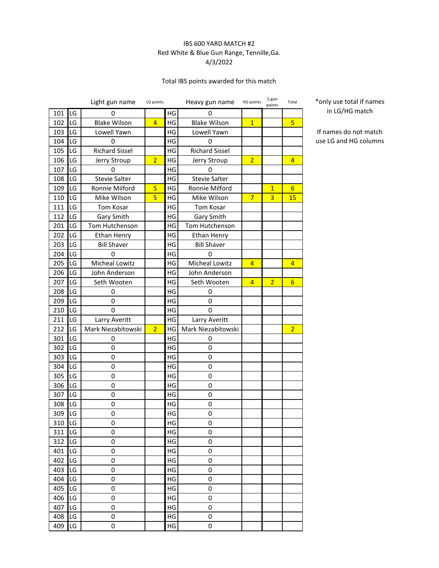### IBS 600 YARD MATCH #2 Red White & Blue Gun Range, Tennille,Ga. 4/3/2022

### Total IBS points awarded for this match

|     |    | Light gun name        | LG points      |    | Heavy gun name        | HG points      | 2-gun<br>points | Total           |
|-----|----|-----------------------|----------------|----|-----------------------|----------------|-----------------|-----------------|
| 101 | LG | 0                     |                | HG | 0                     |                |                 |                 |
| 102 | LG | <b>Blake Wilson</b>   | $\overline{4}$ | HG | <b>Blake Wilson</b>   | $\overline{1}$ |                 | 5               |
| 103 | LG | Lowell Yawn           |                | HG | Lowell Yawn           |                |                 |                 |
| 104 | LG | 0                     |                | HG | 0                     |                |                 |                 |
| 105 | LG | <b>Richard Sissel</b> |                | HG | <b>Richard Sissel</b> |                |                 |                 |
| 106 | LG | Jerry Stroup          | $\overline{2}$ | HG | Jerry Stroup          | $\overline{2}$ |                 | 4               |
| 107 | LG | 0                     |                | HG | 0                     |                |                 |                 |
| 108 | LG | <b>Stevie Salter</b>  |                | HG | <b>Stevie Salter</b>  |                |                 |                 |
| 109 | LG | Ronnie Milford        | 5              | HG | Ronnie Milford        |                | $\mathbf{1}$    | 6               |
| 110 | LG | Mike Wilson           | 5              | HG | Mike Wilson           | $\overline{7}$ | 3               | 15              |
| 111 | LG | Tom Kosar             |                | HG | Tom Kosar             |                |                 |                 |
| 112 | LG | Gary Smith            |                | HG | Gary Smith            |                |                 |                 |
| 201 | LG | Tom Hutchenson        |                | HG | Tom Hutchenson        |                |                 |                 |
| 202 | LG | <b>Ethan Henry</b>    |                | HG | Ethan Henry           |                |                 |                 |
| 203 | LG | <b>Bill Shaver</b>    |                | HG | <b>Bill Shaver</b>    |                |                 |                 |
| 204 | LG | 0                     |                | HG | 0                     |                |                 |                 |
| 205 | LG | <b>Micheal Lowitz</b> |                | HG | Micheal Lowitz        | $\overline{4}$ |                 | 4               |
| 206 | LG | John Anderson         |                | HG | John Anderson         |                |                 |                 |
| 207 | LG | Seth Wooten           |                | HG | Seth Wooten           | 4              | $\overline{2}$  | $6\overline{6}$ |
| 208 | LG | 0                     |                | HG | 0                     |                |                 |                 |
| 209 | LG | 0                     |                | HG | 0                     |                |                 |                 |
| 210 | LG | 0                     |                | HG | 0                     |                |                 |                 |
| 211 | LG | Larry Averitt         |                | HG | Larry Averitt         |                |                 |                 |
| 212 | LG | Mark Niezabitowski    | $\overline{2}$ | HG | Mark Niezabitowski    |                |                 | $\overline{2}$  |
| 301 | LG | 0                     |                | HG | 0                     |                |                 |                 |
| 302 | LG | 0                     |                | HG | 0                     |                |                 |                 |
| 303 | LG | 0                     |                | HG | 0                     |                |                 |                 |
| 304 | LG | 0                     |                | HG | 0                     |                |                 |                 |
| 305 | LG | 0                     |                | HG | 0                     |                |                 |                 |
| 306 | LG | 0                     |                | HG | 0                     |                |                 |                 |
| 307 | LG | 0                     |                | HG | 0                     |                |                 |                 |
| 308 | LG | 0                     |                | HG | 0                     |                |                 |                 |
| 309 | LG | 0                     |                | HG | 0                     |                |                 |                 |
| 310 | LG | 0                     |                | HG | 0                     |                |                 |                 |
| 311 | LG | 0                     |                | HG | 0                     |                |                 |                 |
| 312 | LG | 0                     |                | HG | 0                     |                |                 |                 |
| 401 | LG | 0                     |                | HG | 0                     |                |                 |                 |
| 402 | LG | 0                     |                | HG | 0                     |                |                 |                 |
| 403 | LG | 0                     |                | HG | 0                     |                |                 |                 |
| 404 | LG | 0                     |                | HG | 0                     |                |                 |                 |
| 405 | LG | 0                     |                | HG | 0                     |                |                 |                 |
| 406 | LG | 0                     |                | HG | $\pmb{0}$             |                |                 |                 |
| 407 | LG | 0                     |                | HG | 0                     |                |                 |                 |
| 408 | LG | 0                     |                | HG | 0                     |                |                 |                 |
| 409 | LG | 0                     |                | HG | 0                     |                |                 |                 |

\*only use total if names in LG/HG match

If names do not match use LG and HG columns